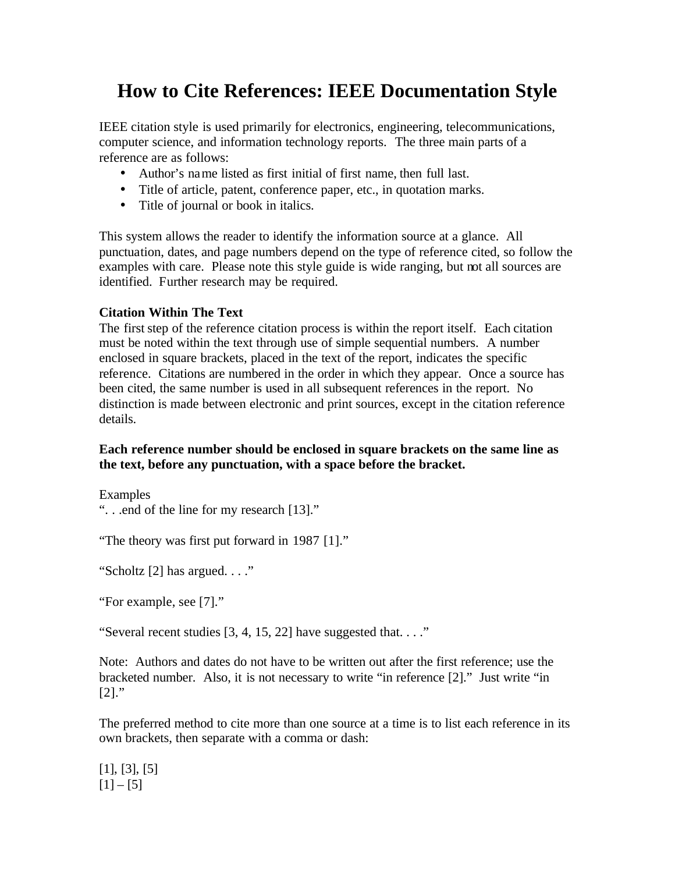# **How to Cite References: IEEE Documentation Style**

IEEE citation style is used primarily for electronics, engineering, telecommunications, computer science, and information technology reports. The three main parts of a reference are as follows:

- Author's name listed as first initial of first name, then full last.
- Title of article, patent, conference paper, etc., in quotation marks.
- Title of journal or book in italics.

This system allows the reader to identify the information source at a glance. All punctuation, dates, and page numbers depend on the type of reference cited, so follow the examples with care. Please note this style guide is wide ranging, but not all sources are identified. Further research may be required.

# **Citation Within The Text**

The first step of the reference citation process is within the report itself. Each citation must be noted within the text through use of simple sequential numbers. A number enclosed in square brackets, placed in the text of the report, indicates the specific reference. Citations are numbered in the order in which they appear. Once a source has been cited, the same number is used in all subsequent references in the report. No distinction is made between electronic and print sources, except in the citation reference details.

# **Each reference number should be enclosed in square brackets on the same line as the text, before any punctuation, with a space before the bracket.**

Examples

". . .end of the line for my research [13]."

"The theory was first put forward in 1987 [1]."

"Scholtz [2] has argued. . . ."

"For example, see [7]."

"Several recent studies [3, 4, 15, 22] have suggested that. . . ."

Note: Authors and dates do not have to be written out after the first reference; use the bracketed number. Also, it is not necessary to write "in reference [2]." Just write "in  $[2]$ ."

The preferred method to cite more than one source at a time is to list each reference in its own brackets, then separate with a comma or dash:

[1], [3], [5]  $[1] - [5]$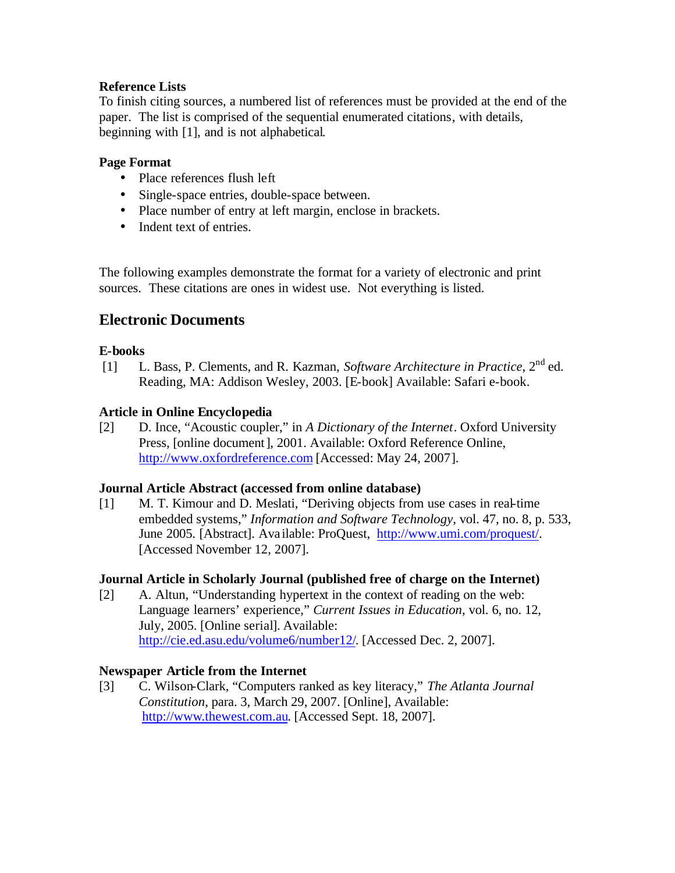## **Reference Lists**

To finish citing sources, a numbered list of references must be provided at the end of the paper. The list is comprised of the sequential enumerated citations, with details, beginning with [1], and is not alphabetical.

#### **Page Format**

- Place references flush left
- Single-space entries, double-space between.
- Place number of entry at left margin, enclose in brackets.
- Indent text of entries.

The following examples demonstrate the format for a variety of electronic and print sources. These citations are ones in widest use. Not everything is listed.

# **Electronic Documents**

#### **E-books**

[1] L. Bass, P. Clements, and R. Kazman, *Software Architecture in Practice*, 2nd ed. Reading, MA: Addison Wesley, 2003. [E-book] Available: Safari e-book.

# **Article in Online Encyclopedia**

[2] D. Ince, "Acoustic coupler," in *A Dictionary of the Internet*. Oxford University Press, [online document], 2001. Available: Oxford Reference Online, http://www.oxfordreference.com [Accessed: May 24, 2007].

#### **Journal Article Abstract (accessed from online database)**

[1] M. T. Kimour and D. Meslati, "Deriving objects from use cases in real-time embedded systems," *Information and Software Technology*, vol. 47, no. 8, p. 533, June 2005. [Abstract]. Ava ilable: ProQuest, http://www.umi.com/proquest/. [Accessed November 12, 2007].

# **Journal Article in Scholarly Journal (published free of charge on the Internet)**

[2] A. Altun, "Understanding hypertext in the context of reading on the web: Language learners' experience," *Current Issues in Education*, vol. 6, no. 12, July, 2005. [Online serial]. Available: http://cie.ed.asu.edu/volume6/number12/. [Accessed Dec. 2, 2007].

#### **Newspaper Article from the Internet**

[3] C. Wilson-Clark, "Computers ranked as key literacy," *The Atlanta Journal Constitution*, para. 3, March 29, 2007. [Online], Available: http://www.thewest.com.au. [Accessed Sept. 18, 2007].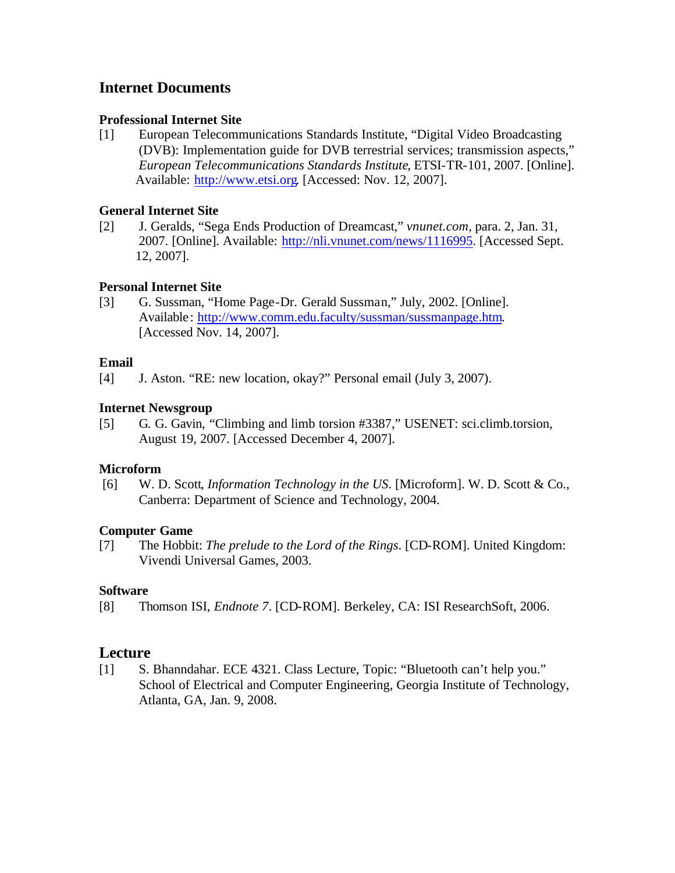# **Internet Documents**

#### **Professional Internet Site**

[1] European Telecommunications Standards Institute, "Digital Video Broadcasting (DVB): Implementation guide for DVB terrestrial services; transmission aspects," *European Telecommunications Standards Institute*, ETSI-TR-101, 2007. [Online]. Available: http://www.etsi.org. [Accessed: Nov. 12, 2007].

#### **General Internet Site**

[2] J. Geralds, "Sega Ends Production of Dreamcast," *vnunet.com*, para. 2, Jan. 31, 2007. [Online]. Available: http://nli.vnunet.com/news/1116995. [Accessed Sept. 12, 2007].

#### **Personal Internet Site**

[3] G. Sussman, "Home Page-Dr. Gerald Sussman," July, 2002. [Online]. Available: http://www.comm.edu.faculty/sussman/sussmanpage.htm. [Accessed Nov. 14, 2007].

#### **Email**

[4] J. Aston. "RE: new location, okay?" Personal email (July 3, 2007).

#### **Internet Newsgroup**

[5] G. G. Gavin, "Climbing and limb torsion #3387," USENET: sci.climb.torsion, August 19, 2007. [Accessed December 4, 2007].

# **Microform**

[6] W. D. Scott, *Information Technology in the US*. [Microform]. W. D. Scott & Co., Canberra: Department of Science and Technology, 2004.

#### **Computer Game**

[7] The Hobbit: *The prelude to the Lord of the Rings*. [CD-ROM]. United Kingdom: Vivendi Universal Games, 2003.

# **Software**

[8] Thomson ISI, *Endnote 7*. [CD-ROM]. Berkeley, CA: ISI ResearchSoft, 2006.

# **Lecture**

[1] S. Bhanndahar. ECE 4321. Class Lecture, Topic: "Bluetooth can't help you." School of Electrical and Computer Engineering, Georgia Institute of Technology, Atlanta, GA, Jan. 9, 2008.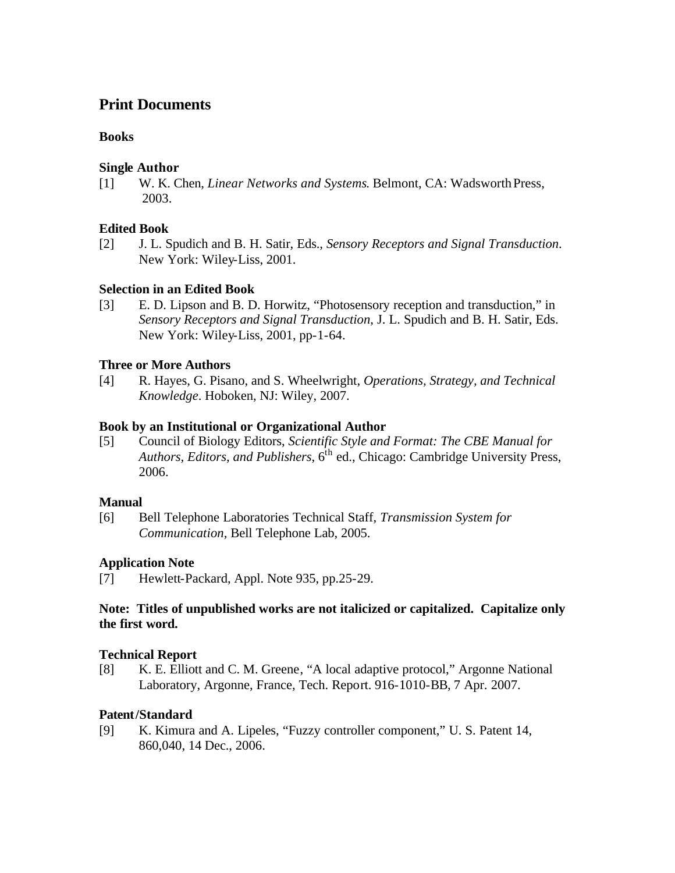# **Print Documents**

## **Books**

#### **Single Author**

[1] W. K. Chen, *Linear Networks and Systems*. Belmont, CA: Wadsworth Press, 2003.

#### **Edited Book**

[2] J. L. Spudich and B. H. Satir, Eds., *Sensory Receptors and Signal Transduction*. New York: Wiley-Liss, 2001.

# **Selection in an Edited Book**

[3] E. D. Lipson and B. D. Horwitz, "Photosensory reception and transduction," in *Sensory Receptors and Signal Transduction*, J. L. Spudich and B. H. Satir, Eds. New York: Wiley-Liss, 2001, pp-1-64.

# **Three or More Authors**

[4] R. Hayes, G. Pisano, and S. Wheelwright, *Operations, Strategy, and Technical Knowledge*. Hoboken, NJ: Wiley, 2007.

#### **Book by an Institutional or Organizational Author**

[5] Council of Biology Editors, *Scientific Style and Format: The CBE Manual for Authors, Editors, and Publishers*, 6th ed., Chicago: Cambridge University Press, 2006.

#### **Manual**

[6] Bell Telephone Laboratories Technical Staff, *Transmission System for Communication*, Bell Telephone Lab, 2005.

# **Application Note**

[7] Hewlett-Packard, Appl. Note 935, pp.25-29.

#### **Note: Titles of unpublished works are not italicized or capitalized. Capitalize only the first word.**

#### **Technical Report**

[8] K. E. Elliott and C. M. Greene, "A local adaptive protocol," Argonne National Laboratory, Argonne, France, Tech. Report. 916-1010-BB, 7 Apr. 2007.

# **Patent/Standard**

[9] K. Kimura and A. Lipeles, "Fuzzy controller component," U. S. Patent 14, 860,040, 14 Dec., 2006.